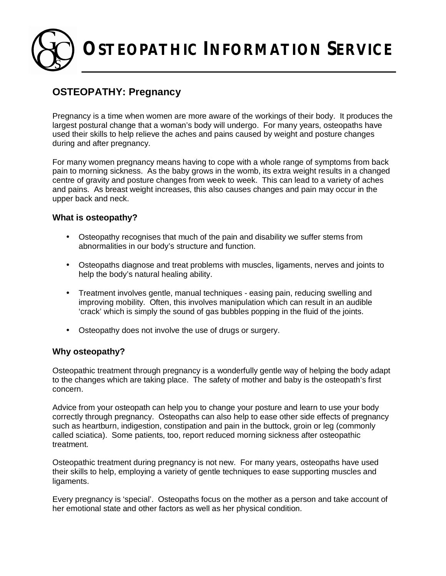**OSTEOPATHIC INFORMATION SERVICE**

# **OSTEOPATHY: Pregnancy**

Pregnancy is a time when women are more aware of the workings of their body. It produces the largest postural change that a woman's body will undergo. For many years, osteopaths have used their skills to help relieve the aches and pains caused by weight and posture changes during and after pregnancy.

For many women pregnancy means having to cope with a whole range of symptoms from back pain to morning sickness. As the baby grows in the womb, its extra weight results in a changed centre of gravity and posture changes from week to week. This can lead to a variety of aches and pains. As breast weight increases, this also causes changes and pain may occur in the upper back and neck.

#### **What is osteopathy?**

- Osteopathy recognises that much of the pain and disability we suffer stems from abnormalities in our body's structure and function.
- Osteopaths diagnose and treat problems with muscles, ligaments, nerves and joints to help the body's natural healing ability.
- Treatment involves gentle, manual techniques easing pain, reducing swelling and improving mobility. Often, this involves manipulation which can result in an audible 'crack' which is simply the sound of gas bubbles popping in the fluid of the joints.
- Osteopathy does not involve the use of drugs or surgery.

## **Why osteopathy?**

Osteopathic treatment through pregnancy is a wonderfully gentle way of helping the body adapt to the changes which are taking place. The safety of mother and baby is the osteopath's first concern.

Advice from your osteopath can help you to change your posture and learn to use your body correctly through pregnancy. Osteopaths can also help to ease other side effects of pregnancy such as heartburn, indigestion, constipation and pain in the buttock, groin or leg (commonly called sciatica). Some patients, too, report reduced morning sickness after osteopathic treatment.

Osteopathic treatment during pregnancy is not new. For many years, osteopaths have used their skills to help, employing a variety of gentle techniques to ease supporting muscles and ligaments.

Every pregnancy is 'special'. Osteopaths focus on the mother as a person and take account of her emotional state and other factors as well as her physical condition.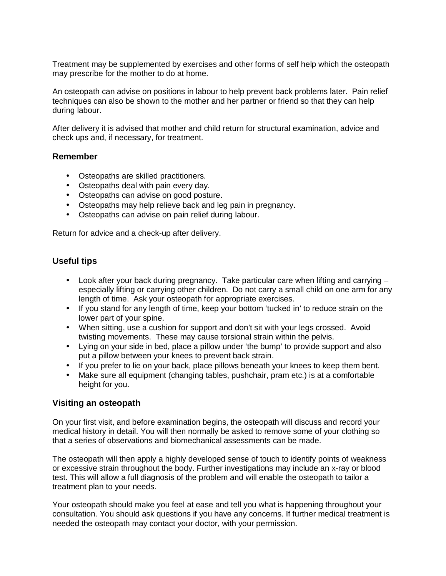Treatment may be supplemented by exercises and other forms of self help which the osteopath may prescribe for the mother to do at home.

An osteopath can advise on positions in labour to help prevent back problems later. Pain relief techniques can also be shown to the mother and her partner or friend so that they can help during labour.

After delivery it is advised that mother and child return for structural examination, advice and check ups and, if necessary, for treatment.

#### **Remember**

- Osteopaths are skilled practitioners.
- Osteopaths deal with pain every day.
- Osteopaths can advise on good posture.
- Osteopaths may help relieve back and leg pain in pregnancy.
- Osteopaths can advise on pain relief during labour.

Return for advice and a check-up after delivery.

# **Useful tips**

- Look after your back during pregnancy. Take particular care when lifting and carrying especially lifting or carrying other children. Do not carry a small child on one arm for any length of time. Ask your osteopath for appropriate exercises.
- If you stand for any length of time, keep your bottom 'tucked in' to reduce strain on the lower part of your spine.
- When sitting, use a cushion for support and don't sit with your legs crossed. Avoid twisting movements. These may cause torsional strain within the pelvis.
- Lying on your side in bed, place a pillow under 'the bump' to provide support and also put a pillow between your knees to prevent back strain.
- If you prefer to lie on your back, place pillows beneath your knees to keep them bent.
- Make sure all equipment (changing tables, pushchair, pram etc.) is at a comfortable height for you.

## **Visiting an osteopath**

On your first visit, and before examination begins, the osteopath will discuss and record your medical history in detail. You will then normally be asked to remove some of your clothing so that a series of observations and biomechanical assessments can be made.

The osteopath will then apply a highly developed sense of touch to identify points of weakness or excessive strain throughout the body. Further investigations may include an x-ray or blood test. This will allow a full diagnosis of the problem and will enable the osteopath to tailor a treatment plan to your needs.

Your osteopath should make you feel at ease and tell you what is happening throughout your consultation. You should ask questions if you have any concerns. If further medical treatment is needed the osteopath may contact your doctor, with your permission.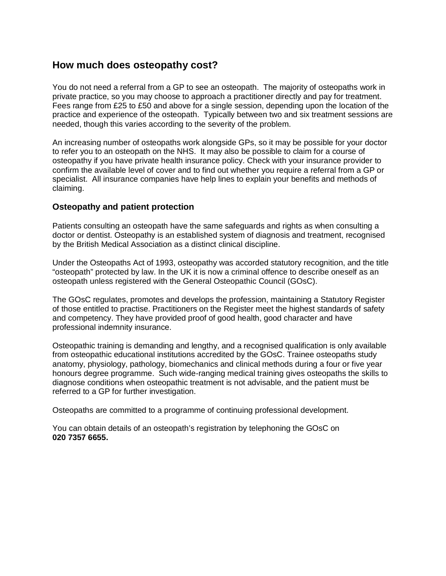# **How much does osteopathy cost?**

You do not need a referral from a GP to see an osteopath. The majority of osteopaths work in private practice, so you may choose to approach a practitioner directly and pay for treatment. Fees range from £25 to £50 and above for a single session, depending upon the location of the practice and experience of the osteopath. Typically between two and six treatment sessions are needed, though this varies according to the severity of the problem.

An increasing number of osteopaths work alongside GPs, so it may be possible for your doctor to refer you to an osteopath on the NHS. It may also be possible to claim for a course of osteopathy if you have private health insurance policy. Check with your insurance provider to confirm the available level of cover and to find out whether you require a referral from a GP or specialist. All insurance companies have help lines to explain your benefits and methods of claiming.

#### **Osteopathy and patient protection**

Patients consulting an osteopath have the same safeguards and rights as when consulting a doctor or dentist. Osteopathy is an established system of diagnosis and treatment, recognised by the British Medical Association as a distinct clinical discipline.

Under the Osteopaths Act of 1993, osteopathy was accorded statutory recognition, and the title "osteopath" protected by law. In the UK it is now a criminal offence to describe oneself as an osteopath unless registered with the General Osteopathic Council (GOsC).

The GOsC regulates, promotes and develops the profession, maintaining a Statutory Register of those entitled to practise. Practitioners on the Register meet the highest standards of safety and competency. They have provided proof of good health, good character and have professional indemnity insurance.

Osteopathic training is demanding and lengthy, and a recognised qualification is only available from osteopathic educational institutions accredited by the GOsC. Trainee osteopaths study anatomy, physiology, pathology, biomechanics and clinical methods during a four or five year honours degree programme. Such wide-ranging medical training gives osteopaths the skills to diagnose conditions when osteopathic treatment is not advisable, and the patient must be referred to a GP for further investigation.

Osteopaths are committed to a programme of continuing professional development.

You can obtain details of an osteopath's registration by telephoning the GOsC on **020 7357 6655.**